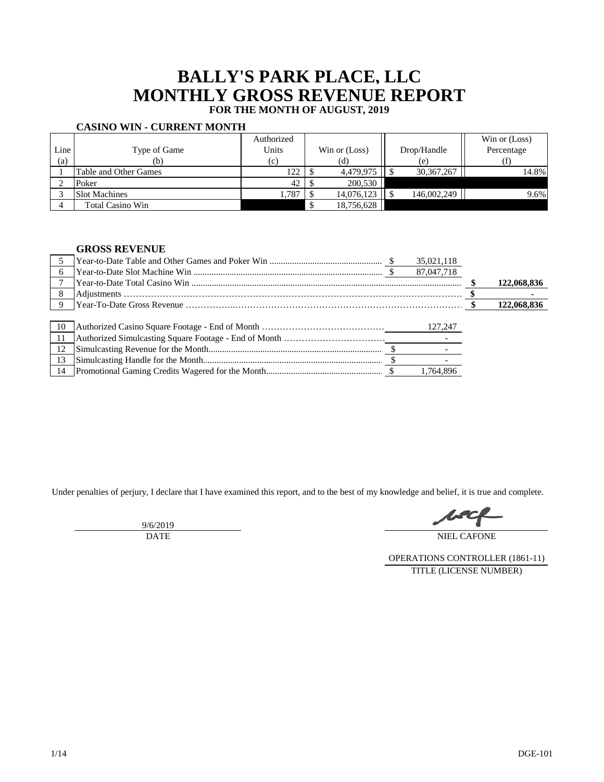# **BALLY'S PARK PLACE, LLC MONTHLY GROSS REVENUE REPORT FOR THE MONTH OF AUGUST, 2019**

### **CASINO WIN - CURRENT MONTH**

|      |                         | Authorized |               |              | Win or (Loss) |
|------|-------------------------|------------|---------------|--------------|---------------|
| Line | Type of Game            | Units      | Win or (Loss) | Drop/Handle  | Percentage    |
| (a)  | (b)                     | (c)        | (d)           | (e)          |               |
|      | Table and Other Games   | 122        | 4,479,975     | 30, 367, 267 | 14.8%         |
|      | Poker                   | 42         | 200,530       |              |               |
|      | <b>Slot Machines</b>    | 1,787      | 14,076,123    | 146,002,249  | 9.6%          |
|      | <b>Total Casino Win</b> |            | 18,756,628    |              |               |

### **GROSS REVENUE**

|     |  | 35,021,118 |             |
|-----|--|------------|-------------|
|     |  | 87,047,718 |             |
|     |  |            | 122,068,836 |
|     |  |            |             |
| -9  |  |            | 122,068,836 |
|     |  |            |             |
| -10 |  | 127,247    |             |
| -11 |  |            |             |
| 12  |  |            |             |
| 13  |  |            |             |
|     |  | 1.764.896  |             |

Under penalties of perjury, I declare that I have examined this report, and to the best of my knowledge and belief, it is true and complete.

9/6/2019 DATE

NIEL CAFONE

OPERATIONS CONTROLLER (1861-11) TITLE (LICENSE NUMBER)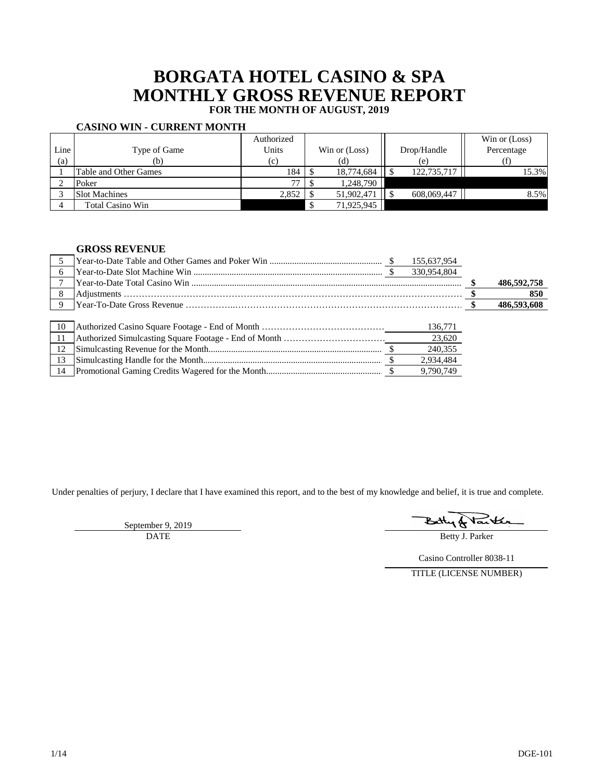# **BORGATA HOTEL CASINO & SPA MONTHLY GROSS REVENUE REPORT FOR THE MONTH OF AUGUST, 2019**

## **CASINO WIN - CURRENT MONTH**

|      |                         | Authorized |               |             | Win or (Loss) |
|------|-------------------------|------------|---------------|-------------|---------------|
| Line | Type of Game            | Units      | Win or (Loss) | Drop/Handle | Percentage    |
| (a)  | (b)                     | (c)        | (d)           | (e)         |               |
|      | Table and Other Games   | 184        | 18,774,684    | 122,735,717 | 15.3%         |
|      | Poker                   | 77         | 1,248,790     |             |               |
|      | <b>Slot Machines</b>    | 2,852      | 51,902,471    | 608,069,447 | 8.5%          |
|      | <b>Total Casino Win</b> |            | 71,925,945    |             |               |

### **GROSS REVENUE**

|              | 155,637,954 |  |             |
|--------------|-------------|--|-------------|
| 6            | 330,954,804 |  |             |
|              |             |  | 486,592,758 |
| 8            |             |  | 850         |
| $\mathbf{Q}$ |             |  | 486,593,608 |
|              |             |  |             |
| 10           | 136,771     |  |             |
| 11           | 23.620      |  |             |
| 12           | 240,355     |  |             |
| 13           | 2,934,484   |  |             |
|              | 9.790.749   |  |             |

Under penalties of perjury, I declare that I have examined this report, and to the best of my knowledge and belief, it is true and complete.

September 9, 2019 DATE

tarkh B

Betty J. Parker

Casino Controller 8038-11

TITLE (LICENSE NUMBER)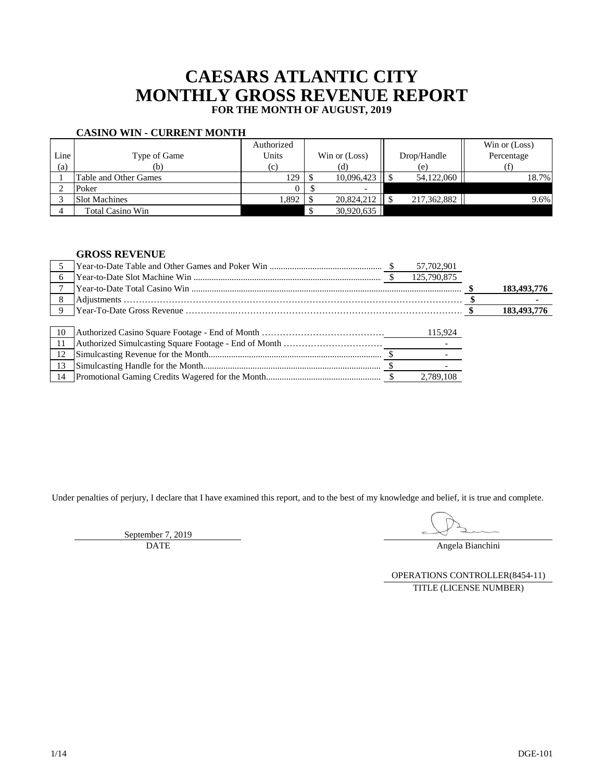# **CAESARS ATLANTIC CITY MONTHLY GROSS REVENUE REPORT FOR THE MONTH OF AUGUST, 2019**

|--|

|      |                         | Authorized |               |            |  |             | Win or (Loss) |
|------|-------------------------|------------|---------------|------------|--|-------------|---------------|
| Line | Type of Game            | Units      | Win or (Loss) |            |  | Drop/Handle | Percentage    |
| (a)  | (b)                     | (c)        |               | (d)        |  | (e)         |               |
|      | Table and Other Games   | 129        |               | 10.096.423 |  | 54,122,060  | 18.7%         |
|      | Poker                   |            |               |            |  |             |               |
|      | <b>Slot Machines</b>    | .892       |               | 20.824.212 |  | 217,362,882 | 9.6%          |
|      | <b>Total Casino Win</b> |            |               | 30,920,635 |  |             |               |

### **GROSS REVENUE**

|              | 57,702,901  |             |
|--------------|-------------|-------------|
| 6            | 125,790,875 |             |
|              |             | 183,493,776 |
| 8            |             |             |
| $\mathbf{Q}$ |             | 183,493,776 |
|              |             |             |
| 10           | 115,924     |             |
|              |             |             |
| 12           |             |             |
| 13           |             |             |
| 14           | 2.789.108   |             |

Under penalties of perjury, I declare that I have examined this report, and to the best of my knowledge and belief, it is true and complete.

September 7, 2019 DATE

Angela Bianchini

OPERATIONS CONTROLLER(8454-11) TITLE (LICENSE NUMBER)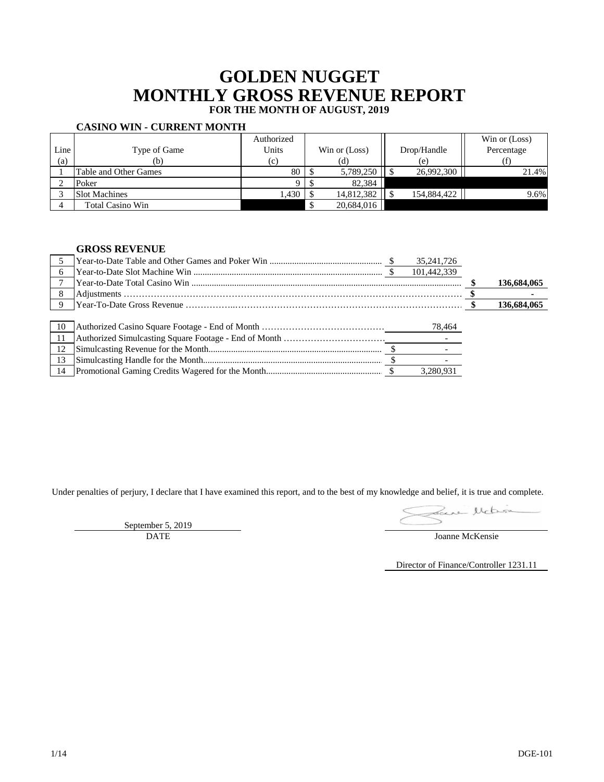# **GOLDEN NUGGET MONTHLY GROSS REVENUE REPORT FOR THE MONTH OF AUGUST, 2019**

### **CASINO WIN - CURRENT MONTH**

|      |                       | Authorized |               |             | Win or (Loss) |
|------|-----------------------|------------|---------------|-------------|---------------|
| Line | Type of Game          | Units      | Win or (Loss) | Drop/Handle | Percentage    |
| (a)  | (b)                   | (c)        | (d)           | (e)         |               |
|      | Table and Other Games | 80         | 5,789,250     | 26,992,300  | 21.4%         |
|      | Poker                 |            | 82.384        |             |               |
|      | <b>Slot Machines</b>  | 1,430      | 14,812,382    | 154,884,422 | 9.6%          |
|      | Total Casino Win      |            | 20,684,016    |             |               |

### **GROSS REVENUE**

|             |  | 35, 241, 726 |             |
|-------------|--|--------------|-------------|
|             |  | 101,442,339  |             |
|             |  |              | 136,684,065 |
|             |  |              |             |
| $\mathbf Q$ |  |              | 136,684,065 |
|             |  |              |             |
| -10         |  | 78,464       |             |
| -11         |  |              |             |
| 12          |  |              |             |
| 13          |  |              |             |
|             |  | 3.280.931    |             |

Under penalties of perjury, I declare that I have examined this report, and to the best of my knowledge and belief, it is true and complete.

Sance Michien

September 5, 2019

Director of Finance/Controller 1231.11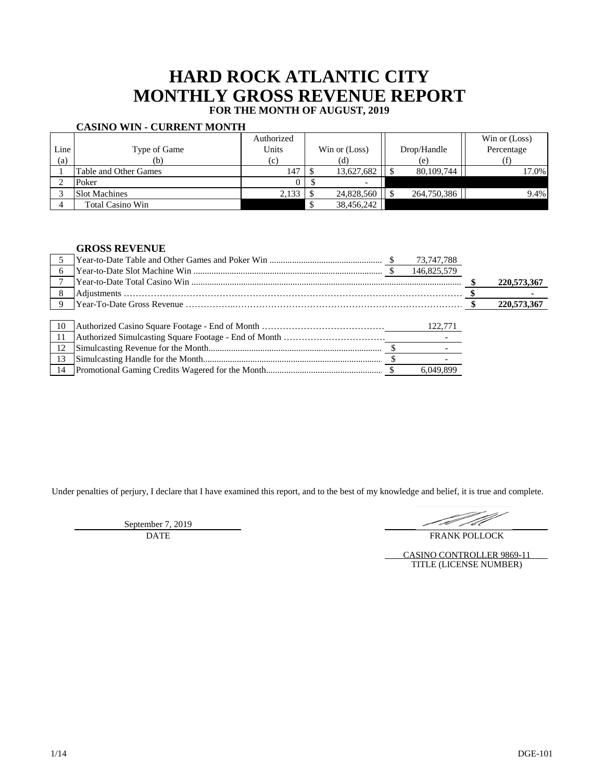# **HARD ROCK ATLANTIC CITY MONTHLY GROSS REVENUE REPORT FOR THE MONTH OF AUGUST, 2019**

#### **CASINO WIN - CURRENT MONTH**

|      |                       | Authorized |                          |             | Win or (Loss) |
|------|-----------------------|------------|--------------------------|-------------|---------------|
| Line | Type of Game          | Units      | Win or (Loss)            | Drop/Handle | Percentage    |
| (a)  | (b)                   | (c)        | (d)                      | (e)         |               |
|      | Table and Other Games | 147        | 13,627,682               | 80,109,744  | 17.0%         |
|      | Poker                 |            | $\overline{\phantom{0}}$ |             |               |
|      | <b>Slot Machines</b>  | 2,133      | 24,828,560               | 264,750,386 | 9.4%          |
|      | Total Casino Win      |            | 38,456,242               |             |               |

#### **GROSS REVENUE**

|             |  | 73,747,788  |             |
|-------------|--|-------------|-------------|
|             |  | 146,825,579 |             |
|             |  |             | 220,573,367 |
| 8           |  |             |             |
| $\mathbf Q$ |  |             | 220,573,367 |
|             |  |             |             |
| 10          |  |             |             |
| 11          |  |             |             |
| 12          |  |             |             |
| 13          |  |             |             |
|             |  |             |             |

Under penalties of perjury, I declare that I have examined this report, and to the best of my knowledge and belief, it is true and complete.

September 7, 2019 DATE

TA

FRANK POLLOCK

CASINO CONTROLLER 9869-11 TITLE (LICENSE NUMBER)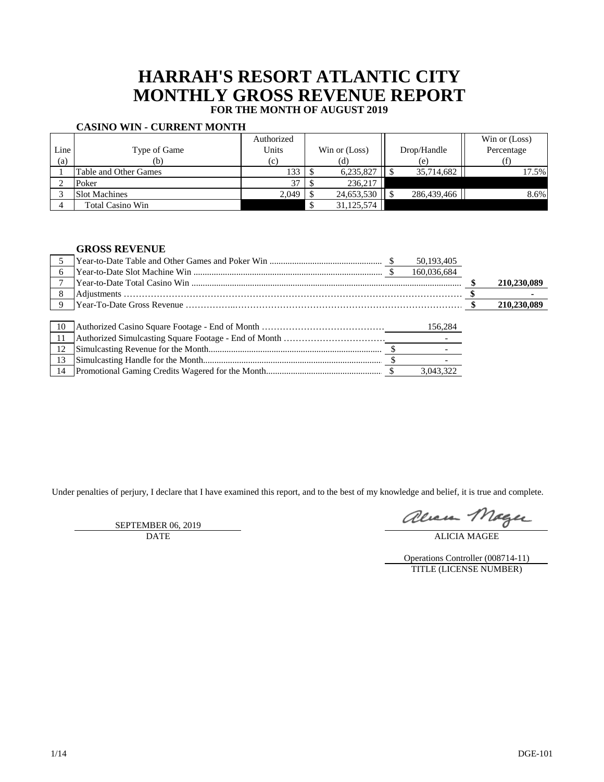## **HARRAH'S RESORT ATLANTIC CITY MONTHLY GROSS REVENUE REPORT FOR THE MONTH OF AUGUST 2019**

## **CASINO WIN - CURRENT MONTH**

|      |                       | Authorized |               |             | Win or (Loss) |
|------|-----------------------|------------|---------------|-------------|---------------|
| Line | Type of Game          | Units      | Win or (Loss) | Drop/Handle | Percentage    |
| (a)  | (b)                   | (c)        | (d)           | (e)         |               |
|      | Table and Other Games | 133        | 6,235,827     | 35,714,682  | 17.5%         |
|      | Poker                 | 37         | 236.217       |             |               |
|      | <b>Slot Machines</b>  | 2,049      | 24,653,530    | 286,439,466 | 8.6%          |
|      | Total Casino Win      |            | 31,125,574    |             |               |

### **GROSS REVENUE**

|     |  | 50,193,405  |             |
|-----|--|-------------|-------------|
|     |  | 160,036,684 |             |
|     |  |             | 210,230,089 |
|     |  |             |             |
| Q   |  |             | 210,230,089 |
|     |  |             |             |
| -10 |  | 156,284     |             |
|     |  |             |             |
| 12  |  |             |             |
| 13  |  |             |             |
|     |  | 3.043.322   |             |

Under penalties of perjury, I declare that I have examined this report, and to the best of my knowledge and belief, it is true and complete.

SEPTEMBER 06, 2019

alicia Mage

Operations Controller (008714-11) TITLE (LICENSE NUMBER)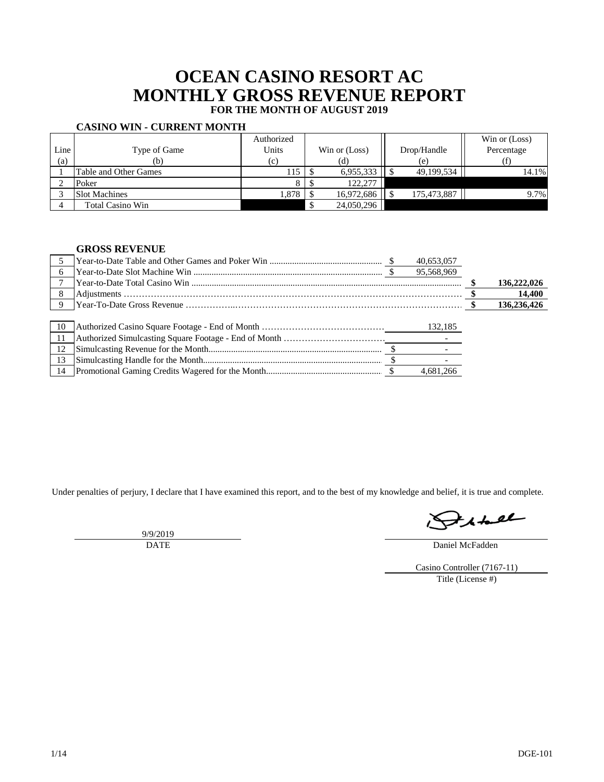## **OCEAN CASINO RESORT AC MONTHLY GROSS REVENUE REPORT FOR THE MONTH OF AUGUST 2019**

## **CASINO WIN - CURRENT MONTH**

|      |                         | Authorized |               |             | Win or (Loss) |
|------|-------------------------|------------|---------------|-------------|---------------|
| Line | Type of Game            | Units      | Win or (Loss) | Drop/Handle | Percentage    |
| (a)  | (b)                     | (c)        | (d)           | (e)         |               |
|      | Table and Other Games   | 115        | 6,955,333     | 49,199,534  | 14.1%         |
|      | Poker                   |            | 122,277       |             |               |
|      | <b>Slot Machines</b>    | 1,878      | 16,972,686    | 175,473,887 | 9.7%          |
|      | <b>Total Casino Win</b> |            | 24,050,296    |             |               |

### **GROSS REVENUE**

|              | 40,653,057 |             |
|--------------|------------|-------------|
| 6            | 95,568,969 |             |
|              |            | 136,222,026 |
| 8            |            | 14,400      |
| $\mathbf{Q}$ |            | 136,236,426 |
|              |            |             |
| 10           | 132,185    |             |
|              |            |             |
| 12           |            |             |
|              |            |             |
|              | 4.681.266  |             |

Under penalties of perjury, I declare that I have examined this report, and to the best of my knowledge and belief, it is true and complete.

9/9/2019 DATE

 $H_{\mathcal{A}} + H_{\mathcal{B}}$ 

Daniel McFadden

Casino Controller (7167-11) Title (License #)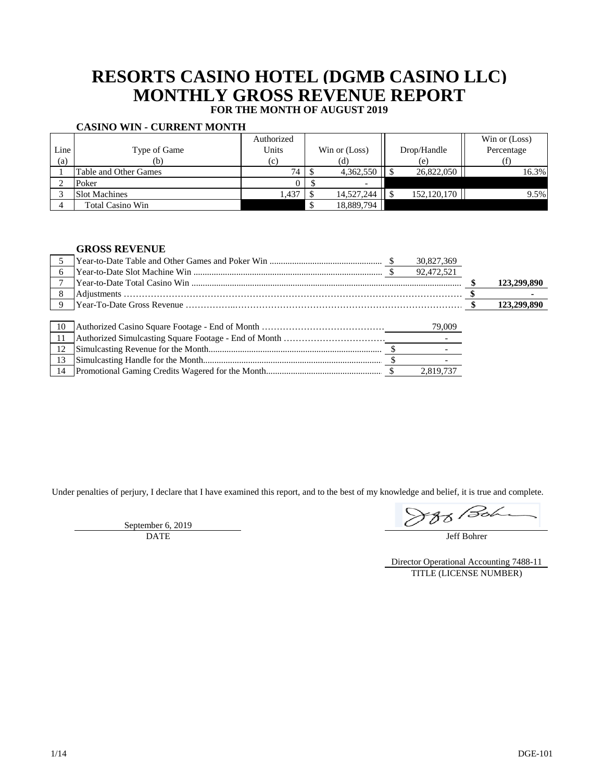## **RESORTS CASINO HOTEL (DGMB CASINO LLC) MONTHLY GROSS REVENUE REPORT FOR THE MONTH OF AUGUST 2019**

#### **CASINO WIN - CURRENT MONTH**

|      |                       | Authorized |                          |             | Win or (Loss) |
|------|-----------------------|------------|--------------------------|-------------|---------------|
| Line | Type of Game          | Units      | Win or (Loss)            | Drop/Handle | Percentage    |
| (a)  | (b)                   | (c)        | (d)                      | (e)         |               |
|      | Table and Other Games | 74         | 4,362,550                | 26,822,050  | 16.3%         |
|      | Poker                 |            | $\overline{\phantom{0}}$ |             |               |
|      | <b>Slot Machines</b>  | 1,437      | 14,527,244               | 152,120,170 | 9.5%          |
|      | Total Casino Win      |            | 18,889,794               |             |               |

### **GROSS REVENUE**

|    |  | 30,827,369 |             |
|----|--|------------|-------------|
|    |  | 92,472,521 |             |
|    |  |            | 123,299,890 |
| 8  |  |            |             |
|    |  |            | 123,299,890 |
|    |  |            |             |
| 10 |  | 79,009     |             |
|    |  |            |             |
| 12 |  |            |             |
| 13 |  |            |             |
|    |  | 2,819,737  |             |

Under penalties of perjury, I declare that I have examined this report, and to the best of my knowledge and belief, it is true and complete.

September 6, 2019 DATE

888 Bohe

Jeff Bohrer

Director Operational Accounting 7488-11 TITLE (LICENSE NUMBER)